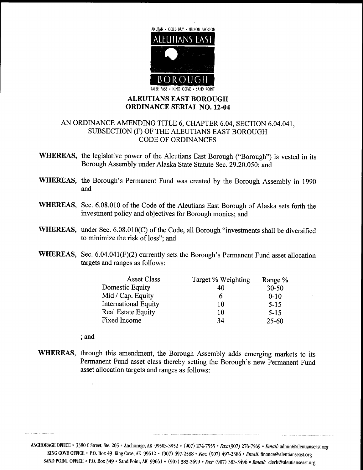

## **ALEUTIANS EAST BOROUGH ORDINANCE SERIAL NO. 12-04**

## AN ORDINANCE AMENDING TITLE 6, CHAPTER 6.04, SECTION 6.04.041, SUBSECTION (F) OF THE ALEUTIANS EAST BOROUGH **CODE OF ORDINANCES**

- WHEREAS, the legislative power of the Aleutians East Borough ("Borough") is vested in its Borough Assembly under Alaska State Statute Sec. 29.20.050; and
- WHEREAS, the Borough's Permanent Fund was created by the Borough Assembly in 1990 and
- WHEREAS, Sec. 6.08.010 of the Code of the Aleutians East Borough of Alaska sets forth the investment policy and objectives for Borough monies; and
- WHEREAS, under Sec. 6.08.010(C) of the Code, all Borough "investments shall be diversified to minimize the risk of loss"; and
- **WHEREAS,** Sec. 6.04.041(F)(2) currently sets the Borough's Permanent Fund asset allocation targets and ranges as follows:

| <b>Asset Class</b>   | Target % Weighting | Range %   |
|----------------------|--------------------|-----------|
| Domestic Equity      | 40                 | $30 - 50$ |
| Mid / Cap. Equity    | 6                  | $0 - 10$  |
| International Equity | 10                 | $5 - 15$  |
| Real Estate Equity   | 10                 | $5 - 15$  |
| Fixed Income         | 34                 | $25 - 60$ |

 $;$  and

WHEREAS, through this amendment, the Borough Assembly adds emerging markets to its Permanent Fund asset class thereby setting the Borough's new Permanent Fund asset allocation targets and ranges as follows:

ANCHORAGE OFFICE \* 3380 C Street, Ste. 205 \* Anchorage, AK 99503-3952 \* (907) 274-7555 \* Fax: (907) 276-7569 \* Email: admin@aleutianseast.org KING COVE OFFICE • P.O. Box 49 King Cove, AK 99612 • (907) 497-2588 • Fax: (907) 497-2386 • Email: finance@aleutianseast.org SAND POINT OFFICE • P.O. Box 349 • Sand Point, AK 99661 • (907) 383-2699 • Fax: (907) 383-3496 • Email: clerk@aleutianseast.org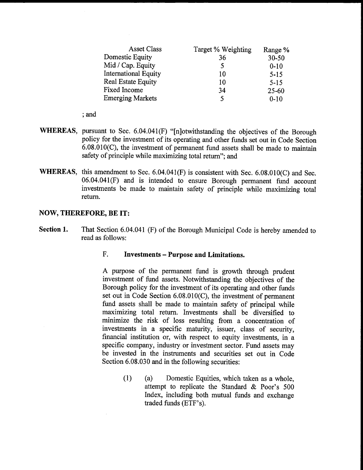| <b>Asset Class</b>          | Target % Weighting | Range %   |
|-----------------------------|--------------------|-----------|
| Domestic Equity             | 36                 | $30 - 50$ |
| Mid / Cap. Equity           | 5                  | $0 - 10$  |
| <b>International Equity</b> | 10                 | $5 - 15$  |
| <b>Real Estate Equity</b>   | 10                 | $5 - 15$  |
| Fixed Income                | 34                 | $25 - 60$ |
| <b>Emerging Markets</b>     | 5                  | $0 - 10$  |

; and

- WHEREAS, pursuant to Sec. 6.04.041(F) "[n]otwithstanding the objectives of the Borough policy for the investment of its operating and other funds set out in Code Section  $6.08.010(C)$ , the investment of permanent fund assets shall be made to maintain safety of principle while maximizing total return"; and
- WHEREAS, this amendment to Sec. 6.04.041(F) is consistent with Sec. 6.08.010(C) and Sec. 06.04.041(F) and is intended to ensure Borough permanent fund account investments be made to maintain safety of principle while maximizing total return.

## **NOW, THEREFORE, BE IT:**

- That Section 6.04.041 (F) of the Borough Municipal Code is hereby amended to Section 1. read as follows:
	- $F_{1}$ **Investments - Purpose and Limitations.**

A purpose of the permanent fund is growth through prudent investment of fund assets. Notwithstanding the objectives of the Borough policy for the investment of its operating and other funds set out in Code Section 6.08.010(C), the investment of permanent fund assets shall be made to maintain safety of principal while maximizing total return. Investments shall be diversified to minimize the risk of loss resulting from a concentration of investments in a specific maturity, issuer, class of security, financial institution or, with respect to equity investments, in a specific company, industry or investment sector. Fund assets may be invested in the instruments and securities set out in Code Section 6.08.030 and in the following securities:

> Domestic Equities, which taken as a whole,  $(1)$  $(a)$ attempt to replicate the Standard & Poor's 500 Index, including both mutual funds and exchange traded funds (ETF's).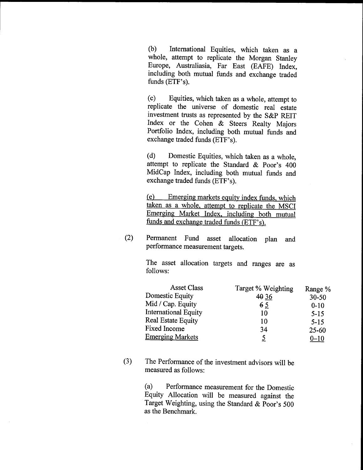$(b)$ International Equities, which taken as a whole, attempt to replicate the Morgan Stanley Europe, Australiasia, Far East (EAFE) Index, including both mutual funds and exchange traded funds (ETF's).

 $(c)$ Equities, which taken as a whole, attempt to replicate the universe of domestic real estate investment trusts as represented by the S&P REIT Index or the Cohen & Steers Realty Majors Portfolio Index, including both mutual funds and exchange traded funds (ETF's).

 $(d)$ Domestic Equities, which taken as a whole. attempt to replicate the Standard & Poor's 400 MidCap Index, including both mutual funds and exchange traded funds (ETF's).

Emerging markets equity index funds, which  $(e)$ taken as a whole, attempt to replicate the MSCI Emerging Market Index, including both mutual funds and exchange traded funds (ETF's).

 $(2)$ Permanent Fund asset allocation plan and performance measurement targets.

> The asset allocation targets and ranges are as follows:

| <b>Asset Class</b>          | Target % Weighting | Range %   |
|-----------------------------|--------------------|-----------|
| Domestic Equity             | 40 36              | $30 - 50$ |
| Mid / Cap. Equity           | 65                 | $0 - 10$  |
| <b>International Equity</b> | 10                 | $5 - 15$  |
| <b>Real Estate Equity</b>   | 10                 | $5 - 15$  |
| Fixed Income                | 34                 | $25 - 60$ |
| <b>Emerging Markets</b>     |                    | $0 - 10$  |

 $(3)$ The Performance of the investment advisors will be measured as follows:

> $(a)$ Performance measurement for the Domestic Equity Allocation will be measured against the Target Weighting, using the Standard & Poor's 500 as the Benchmark.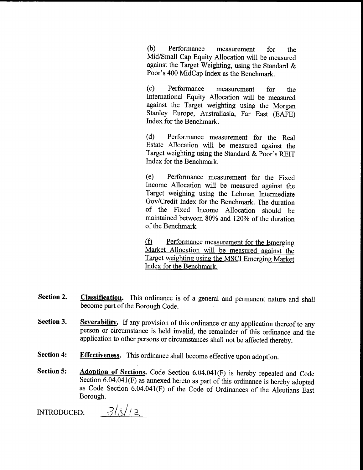$(b)$ Performance measurement for the Mid/Small Cap Equity Allocation will be measured against the Target Weighting, using the Standard & Poor's 400 MidCap Index as the Benchmark.

 $(c)$ Performance measurement  $for$ the International Equity Allocation will be measured against the Target weighting using the Morgan Stanley Europe, Australiasia, Far East (EAFE) Index for the Benchmark.

 $(d)$ Performance measurement for the Real Estate Allocation will be measured against the Target weighting using the Standard & Poor's REIT Index for the Benchmark.

 $(e)$ Performance measurement for the Fixed Income Allocation will be measured against the Target weighing using the Lehman Intermediate Gov/Credit Index for the Benchmark. The duration of the Fixed Income Allocation should be maintained between 80% and 120% of the duration of the Benchmark.

 $(f)$ Performance measurement for the Emerging Market Allocation will be measured against the Target weighting using the MSCI Emerging Market Index for the Benchmark.

- Section 2. Classification. This ordinance is of a general and permanent nature and shall become part of the Borough Code.
- Severability. If any provision of this ordinance or any application thereof to any **Section 3.** person or circumstance is held invalid, the remainder of this ordinance and the application to other persons or circumstances shall not be affected thereby.
- **Section 4: Effectiveness.** This ordinance shall become effective upon adoption.
- Section 5: Adoption of Sections. Code Section 6.04.041(F) is hereby repealed and Code Section  $6.04.041(F)$  as annexed hereto as part of this ordinance is hereby adopted as Code Section 6.04.041(F) of the Code of Ordinances of the Aleutians East Borough.

**INTRODUCED:** 

 $318/12$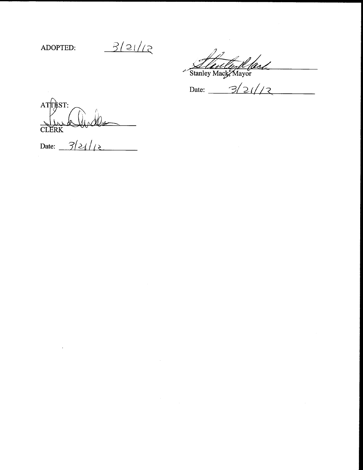ADOPTED:

 $3/21/2$ 

Alexandry Mary ð

Date:  $\frac{3}{21/2}$ 

ATTEST: CLERK

Date:  $\frac{3}{2112}$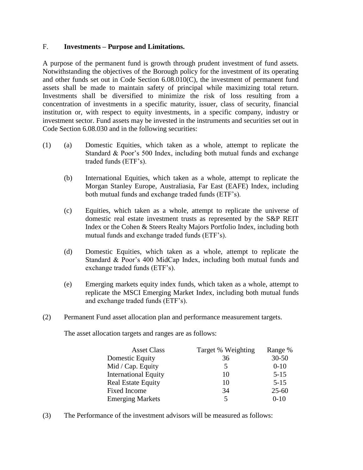## F. **Investments – Purpose and Limitations.**

A purpose of the permanent fund is growth through prudent investment of fund assets. Notwithstanding the objectives of the Borough policy for the investment of its operating and other funds set out in Code Section 6.08.010(C), the investment of permanent fund assets shall be made to maintain safety of principal while maximizing total return. Investments shall be diversified to minimize the risk of loss resulting from a concentration of investments in a specific maturity, issuer, class of security, financial institution or, with respect to equity investments, in a specific company, industry or investment sector. Fund assets may be invested in the instruments and securities set out in Code Section 6.08.030 and in the following securities:

- (1) (a) Domestic Equities, which taken as a whole, attempt to replicate the Standard & Poor's 500 Index, including both mutual funds and exchange traded funds (ETF's).
	- (b) International Equities, which taken as a whole, attempt to replicate the Morgan Stanley Europe, Australiasia, Far East (EAFE) Index, including both mutual funds and exchange traded funds (ETF's).
	- (c) Equities, which taken as a whole, attempt to replicate the universe of domestic real estate investment trusts as represented by the S&P REIT Index or the Cohen & Steers Realty Majors Portfolio Index, including both mutual funds and exchange traded funds (ETF's).
	- (d) Domestic Equities, which taken as a whole, attempt to replicate the Standard & Poor's 400 MidCap Index, including both mutual funds and exchange traded funds (ETF's).
	- (e) Emerging markets equity index funds, which taken as a whole, attempt to replicate the MSCI Emerging Market Index, including both mutual funds and exchange traded funds (ETF's).
- (2) Permanent Fund asset allocation plan and performance measurement targets.

The asset allocation targets and ranges are as follows:

| <b>Asset Class</b>          | Target % Weighting | Range %   |
|-----------------------------|--------------------|-----------|
| <b>Domestic Equity</b>      | 36                 | $30 - 50$ |
| Mid / Cap. Equity           | 5                  | $0-10$    |
| <b>International Equity</b> | 10                 | $5-15$    |
| <b>Real Estate Equity</b>   | 10                 | $5-15$    |
| <b>Fixed Income</b>         | 34                 | $25 - 60$ |
| <b>Emerging Markets</b>     | 5                  | $0 - 10$  |

(3) The Performance of the investment advisors will be measured as follows: